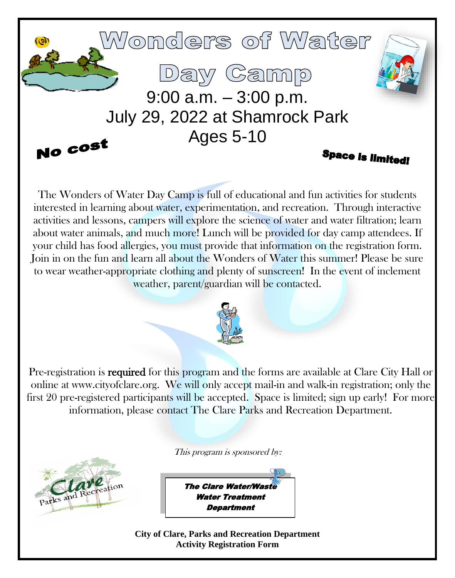

The Wonders of Water Day Camp is full of educational and fun activities for students interested in learning about water, experimentation, and recreation. Through interactive activities and lessons, campers will explore the science of water and water filtration; learn about water animals, and much more! Lunch will be provided for day camp attendees. If your child has food allergies, you must provide that information on the registration form. Join in on the fun and learn all about the Wonders of Water this summer! Please be sure to wear weather-appropriate clothing and plenty of sunscreen! In the event of inclement weather, parent/guardian will be contacted.



Pre-registration is **required** for this program and the forms are available at Clare City Hall or online at www.cityofclare.org. We will only accept mail-in and walk-in registration; only the first 20 pre-registered participants will be accepted. Space is limited; sign up early! For more information, please contact The Clare Parks and Recreation Department.

This program is sponsored by:



**The Clare Water/Wast** Water Treatment **Department** 

**City of Clare, Parks and Recreation Department Activity Registration Form**